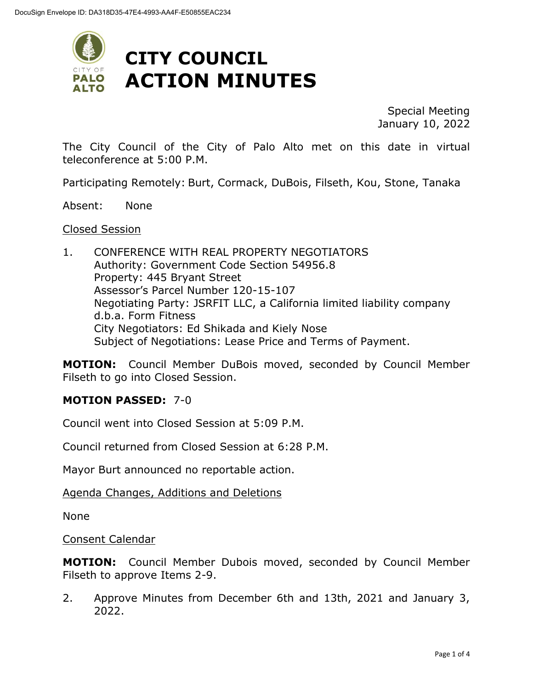

Special Meeting January 10, 2022

The City Council of the City of Palo Alto met on this date in virtual teleconference at 5:00 P.M.

Participating Remotely: Burt, Cormack, DuBois, Filseth, Kou, Stone, Tanaka

Absent: None

### Closed Session

1. CONFERENCE WITH REAL PROPERTY NEGOTIATORS Authority: Government Code Section 54956.8 Property: 445 Bryant Street Assessor's Parcel Number 120-15-107 Negotiating Party: JSRFIT LLC, a California limited liability company d.b.a. Form Fitness City Negotiators: Ed Shikada and Kiely Nose Subject of Negotiations: Lease Price and Terms of Payment.

**MOTION:** Council Member DuBois moved, seconded by Council Member Filseth to go into Closed Session.

### **MOTION PASSED:** 7-0

Council went into Closed Session at 5:09 P.M.

Council returned from Closed Session at 6:28 P.M.

Mayor Burt announced no reportable action.

### Agenda Changes, Additions and Deletions

None

Consent Calendar

**MOTION:** Council Member Dubois moved, seconded by Council Member Filseth to approve Items 2-9.

2. Approve Minutes from December 6th and 13th, 2021 and January 3, 2022.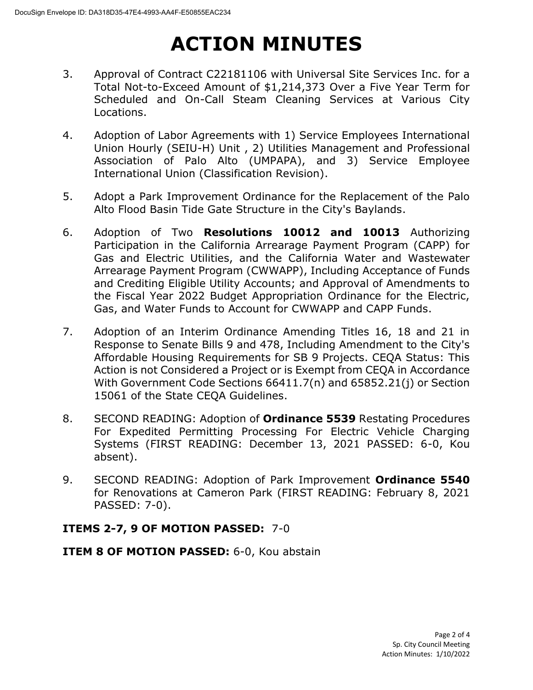# **ACTION MINUTES**

- 3. Approval of Contract C22181106 with Universal Site Services Inc. for a Total Not-to-Exceed Amount of \$1,214,373 Over a Five Year Term for Scheduled and On-Call Steam Cleaning Services at Various City Locations.
- 4. Adoption of Labor Agreements with 1) Service Employees International Union Hourly (SEIU-H) Unit , 2) Utilities Management and Professional Association of Palo Alto (UMPAPA), and 3) Service Employee International Union (Classification Revision).
- 5. Adopt a Park Improvement Ordinance for the Replacement of the Palo Alto Flood Basin Tide Gate Structure in the City's Baylands.
- 6. Adoption of Two **Resolutions 10012 and 10013** Authorizing Participation in the California Arrearage Payment Program (CAPP) for Gas and Electric Utilities, and the California Water and Wastewater Arrearage Payment Program (CWWAPP), Including Acceptance of Funds and Crediting Eligible Utility Accounts; and Approval of Amendments to the Fiscal Year 2022 Budget Appropriation Ordinance for the Electric, Gas, and Water Funds to Account for CWWAPP and CAPP Funds.
- 7. Adoption of an Interim Ordinance Amending Titles 16, 18 and 21 in Response to Senate Bills 9 and 478, Including Amendment to the City's Affordable Housing Requirements for SB 9 Projects. CEQA Status: This Action is not Considered a Project or is Exempt from CEQA in Accordance With Government Code Sections 66411.7(n) and 65852.21(j) or Section 15061 of the State CEQA Guidelines.
- 8. SECOND READING: Adoption of **Ordinance 5539** Restating Procedures For Expedited Permitting Processing For Electric Vehicle Charging Systems (FIRST READING: December 13, 2021 PASSED: 6-0, Kou absent).
- 9. SECOND READING: Adoption of Park Improvement **Ordinance 5540**  for Renovations at Cameron Park (FIRST READING: February 8, 2021 PASSED: 7-0).

### **ITEMS 2-7, 9 OF MOTION PASSED:** 7-0

**ITEM 8 OF MOTION PASSED:** 6-0, Kou abstain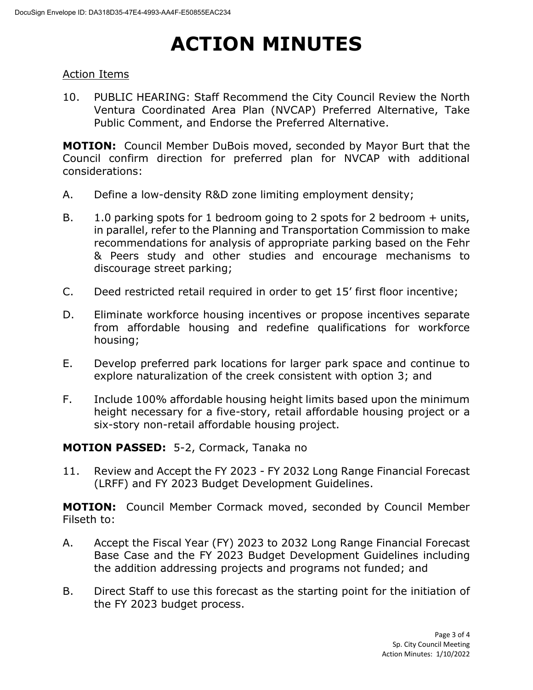# **ACTION MINUTES**

### Action Items

10. PUBLIC HEARING: Staff Recommend the City Council Review the North Ventura Coordinated Area Plan (NVCAP) Preferred Alternative, Take Public Comment, and Endorse the Preferred Alternative.

**MOTION:** Council Member DuBois moved, seconded by Mayor Burt that the Council confirm direction for preferred plan for NVCAP with additional considerations:

- A. Define a low-density R&D zone limiting employment density;
- B. 1.0 parking spots for 1 bedroom going to 2 spots for 2 bedroom + units, in parallel, refer to the Planning and Transportation Commission to make recommendations for analysis of appropriate parking based on the Fehr & Peers study and other studies and encourage mechanisms to discourage street parking;
- C. Deed restricted retail required in order to get 15' first floor incentive;
- D. Eliminate workforce housing incentives or propose incentives separate from affordable housing and redefine qualifications for workforce housing;
- E. Develop preferred park locations for larger park space and continue to explore naturalization of the creek consistent with option 3; and
- F. Include 100% affordable housing height limits based upon the minimum height necessary for a five-story, retail affordable housing project or a six-story non-retail affordable housing project.

**MOTION PASSED:** 5-2, Cormack, Tanaka no

11. Review and Accept the FY 2023 - FY 2032 Long Range Financial Forecast (LRFF) and FY 2023 Budget Development Guidelines.

**MOTION:** Council Member Cormack moved, seconded by Council Member Filseth to:

- A. Accept the Fiscal Year (FY) 2023 to 2032 Long Range Financial Forecast Base Case and the FY 2023 Budget Development Guidelines including the addition addressing projects and programs not funded; and
- B. Direct Staff to use this forecast as the starting point for the initiation of the FY 2023 budget process.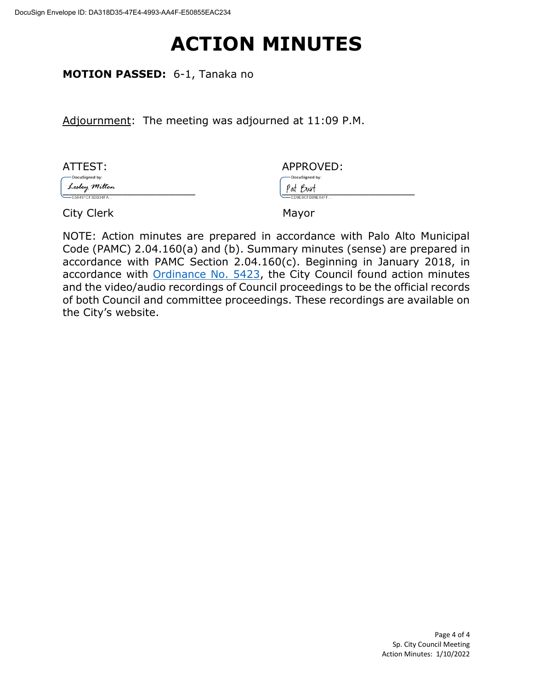## **ACTION MINUTES**

**MOTION PASSED:** 6-1, Tanaka no

Adjournment: The meeting was adjourned at 11:09 P.M.

| ATTEST:         | APPROVED:          |
|-----------------|--------------------|
| -DocuSigned by: | -DocuSigned by:    |
| Lesley Milton   | Pat Burt           |
| E56491CF3DB34FA | $-ED9E9CFB89E64FF$ |
| City Clerk      | Mayor              |

NOTE: Action minutes are prepared in accordance with Palo Alto Municipal Code (PAMC) 2.04.160(a) and (b). Summary minutes (sense) are prepared in accordance with PAMC Section 2.04.160(c). Beginning in January 2018, in accordance with [Ordinance](https://www.cityofpaloalto.org/files/assets/public/city-clerk/ordinances/ordinances-1909-to-present/ordinances-by-number/ord-5423.pdf) No. 5423, the City Council found action minutes and the video/audio recordings of Council proceedings to be the official records of both Council and committee proceedings. These recordings are available on the City's website.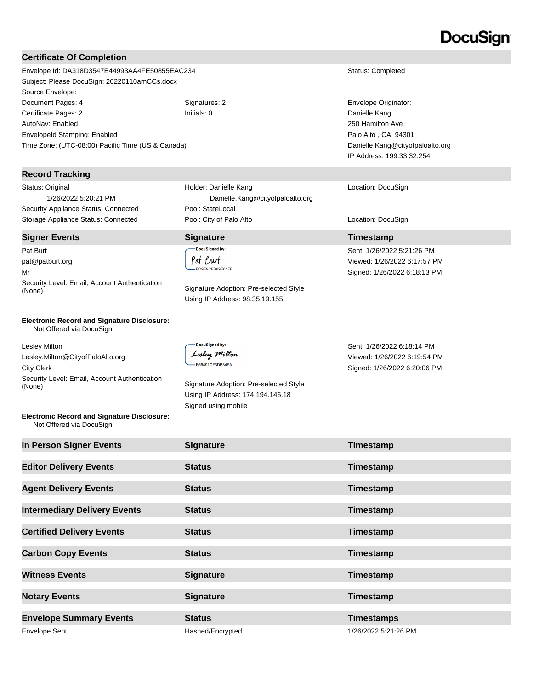## DocuSian

### **Certificate Of Completion**

Envelope Id: DA318D3547E44993AA4FE50855EAC234 Status: Completed Subject: Please DocuSign: 20220110amCCs.docx Source Envelope: Document Pages: 4 Signatures: 2 Signatures: 2 Envelope Originator: Certificate Pages: 2 **Initials: 0** Initials: 0 **Danielle Kang** AutoNav: Enabled EnvelopeId Stamping: Enabled Time Zone: (UTC-08:00) Pacific Time (US & Canada)

### **Record Tracking**

Status: Original 1/26/2022 5:20:21 PM Security Appliance Status: Connected Pool: StateLocal

### **Signer Events Signature Timestamp**

Pat Burt pat@patburt.org Mr Security Level: Email, Account Authentication (None) Signature Adoption: Pre-selected Style

#### **Electronic Record and Signature Disclosure:**  Not Offered via DocuSign

Lesley Milton Lesley.Milton@CityofPaloAlto.org City Clerk Security Level: Email, Account Authentication<br>(None)

### **Electronic Record and Signature Disclosure:**  Not Offered via DocuSign

 Danielle.Kang@cityofpaloalto.org Storage Appliance Status: Connected **Pool: City of Palo Alto** Location: DocuSign Location: DocuSign

Holder: Danielle Kang

DocuSigned by: Pat Burt ED9E9CFB89E64FF...

Using IP Address: 98.35.19.155

DocuSigned by Lesley Milton -<br>E56491CF3DB34FA...

Signature Adoption: Pre-selected Style Using IP Address: 174.194.146.18 Signed using mobile

Sent: 1/26/2022 6:18:14 PM Viewed: 1/26/2022 6:19:54 PM Signed: 1/26/2022 6:20:06 PM

250 Hamilton Ave Palo Alto , CA 94301

Location: DocuSign

Sent: 1/26/2022 5:21:26 PM Viewed: 1/26/2022 6:17:57 PM Signed: 1/26/2022 6:18:13 PM

Danielle.Kang@cityofpaloalto.org IP Address: 199.33.32.254

| In Person Signer Events             | <b>Signature</b> | Timestamp            |
|-------------------------------------|------------------|----------------------|
| <b>Editor Delivery Events</b>       | <b>Status</b>    | Timestamp            |
| <b>Agent Delivery Events</b>        | <b>Status</b>    | Timestamp            |
| <b>Intermediary Delivery Events</b> | <b>Status</b>    | Timestamp            |
| <b>Certified Delivery Events</b>    | <b>Status</b>    | Timestamp            |
| <b>Carbon Copy Events</b>           | <b>Status</b>    | Timestamp            |
| <b>Witness Events</b>               | <b>Signature</b> | Timestamp            |
| <b>Notary Events</b>                | <b>Signature</b> | Timestamp            |
| <b>Envelope Summary Events</b>      | <b>Status</b>    | <b>Timestamps</b>    |
| Envelope Sent                       | Hashed/Encrypted | 1/26/2022 5:21:26 PM |